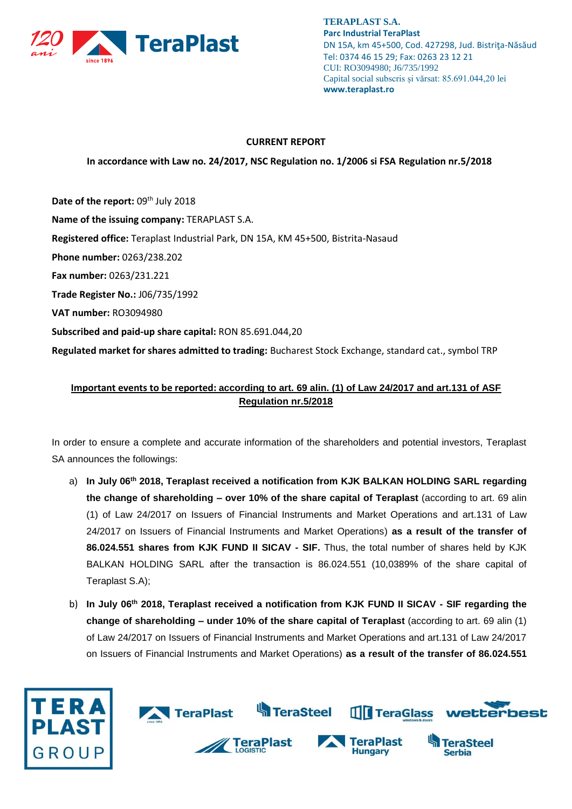

**TERAPLAST S.A. Parc Industrial TeraPlast** DN 15A, km 45+500, Cod. 427298, Jud. Bistriţa-Năsăud Tel: 0374 46 15 29; Fax: 0263 23 12 21 CUI: RO3094980; J6/735/1992 Capital social subscris și vărsat: 85.691.044,20 lei **www.teraplast.ro**

## **CURRENT REPORT**

**In accordance with Law no. 24/2017, NSC Regulation no. 1/2006 si FSA Regulation nr.5/2018**

Date of the report: 09<sup>th</sup> July 2018 **Name of the issuing company:** TERAPLAST S.A. **Registered office:** Teraplast Industrial Park, DN 15A, KM 45+500, Bistrita-Nasaud **Phone number:** 0263/238.202 **Fax number:** 0263/231.221 **Trade Register No.:** J06/735/1992 **VAT number:** RO3094980 **Subscribed and paid-up share capital:** RON 85.691.044,20 **Regulated market for shares admitted to trading:** Bucharest Stock Exchange, standard cat., symbol TRP

## **Important events to be reported: according to art. 69 alin. (1) of Law 24/2017 and art.131 of ASF Regulation nr.5/2018**

In order to ensure a complete and accurate information of the shareholders and potential investors, Teraplast SA announces the followings:

- a) **In July 06th 2018, Teraplast received a notification from KJK BALKAN HOLDING SARL regarding the change of shareholding – over 10% of the share capital of Teraplast** (according to art. 69 alin (1) of Law 24/2017 on Issuers of Financial Instruments and Market Operations and art.131 of Law 24/2017 on Issuers of Financial Instruments and Market Operations) **as a result of the transfer of 86.024.551 shares from KJK FUND II SICAV - SIF.** Thus, the total number of shares held by KJK BALKAN HOLDING SARL after the transaction is 86.024.551 (10,0389% of the share capital of Teraplast S.A);
- b) **In July 06th 2018, Teraplast received a notification from KJK FUND II SICAV - SIF regarding the change of shareholding – under 10% of the share capital of Teraplast** (according to art. 69 alin (1) of Law 24/2017 on Issuers of Financial Instruments and Market Operations and art.131 of Law 24/2017 on Issuers of Financial Instruments and Market Operations) **as a result of the transfer of 86.024.551**